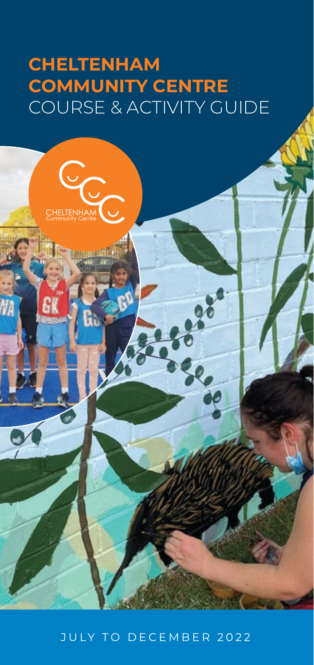# **CHELTENHAM COMMUNITY CENTRE** COURSE & ACTIVITY GUIDE

CHELTENHAM

NA

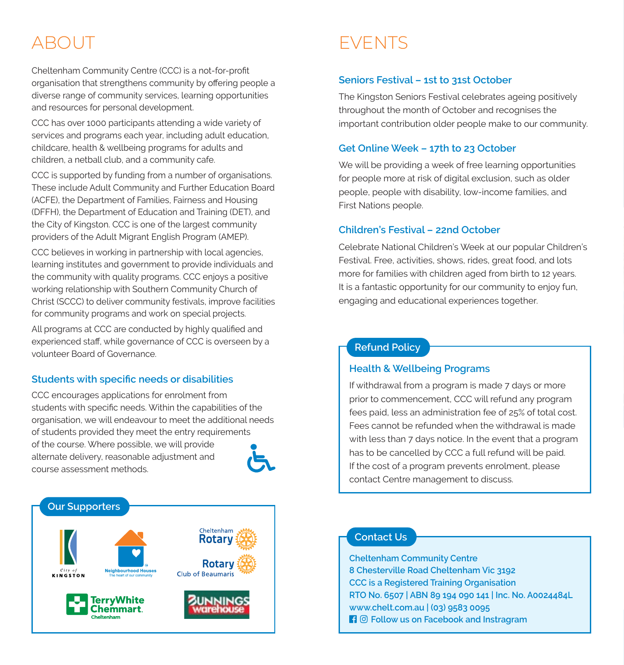# ABOUT

Cheltenham Community Centre (CCC) is a not-for-profit organisation that strengthens community by offering people a diverse range of community services, learning opportunities and resources for personal development.

CCC has over 1000 participants attending a wide variety of services and programs each vear, including adult education. childcare, health & wellbeing programs for adults and children, a netball club, and a community cafe.

CCC is supported by funding from a number of organisations. These include Adult Community and Further Education Board (ACFE), the Department of Families, Fairness and Housing (DFFH), the Department of Education and Training (DET), and the City of Kingston. CCC is one of the largest community providers of the Adult Migrant English Program (AMEP).

CCC believes in working in partnership with local agencies, learning institutes and government to provide individuals and the community with quality programs. CCC enjoys a positive working relationship with Southern Community Church of Christ (SCCC) to deliver community festivals, improve facilities for community programs and work on special projects.

All programs at CCC are conducted by highly qualified and experienced staff, while governance of CCC is overseen by a volunteer Board of Governance

## **Students with specific needs or disabilities**

CCC encourages applications for enrolment from students with specific needs. Within the capabilities of the organisation, we will endeavour to meet the additional needs of students provided they meet the entry requirements of the course. Where possible, we will provide alternate delivery, reasonable adiustment and COURSe assessment methods



# **EVENTS**

# **Seniors Festival – 1st to 31st October**

The Kingston Seniors Festival celebrates ageing positively throughout the month of October and recognises the important contribution older people make to our community.

## **Get Online Week – 17th to 23 October**

We will be providing a week of free learning opportunities for people more at risk of digital exclusion, such as older people, people with disability, low-income families, and First Nations people.

#### **Children's Festival – 22nd October**

Celebrate National Children's Week at our popular Children's Festival. Free, activities, shows, rides, great food, and lots more for families with children aged from birth to 12 years. It is a fantastic opportunity for our community to enjoy fun, engaging and educational experiences together.

# **Refund Policy**

## **Health & Wellbeing Programs**

If withdrawal from a program is made 7 days or more prior to commencement, CCC will refund any program fees paid, less an administration fee of 25% of total cost. Fees cannot be refunded when the withdrawal is made with less than 7 days notice. In the event that a program has to be cancelled by CCC a full refund will be paid. If the cost of a program prevents enrolment, please contact Centre management to discuss.

# **Contact Us**

**Cheltenham Community Centre 8 Chesterville Road Cheltenham Vic 3192 CCC is a Registered Training Organisation RTO No. 6507 | ABN 89 194 090 141 | Inc. No. A0024484L www.chelt.com.au | (03) 9583 0095 Fi**  $\odot$  Follow us on Facebook and Instragram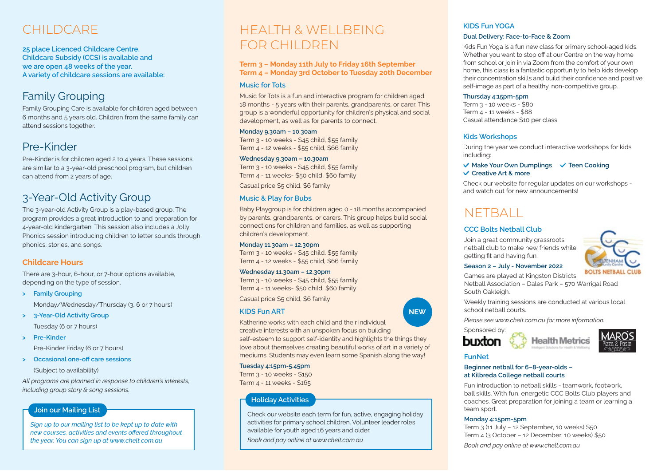# CHILDCARE

**25 place Licenced Childcare Centre. Childcare Subsidy (CCS) is available and**  Childcare Subsidy (CCS) is availab<br>we are open 48 weeks of the year. A variety of childcare sessions are available:

# Family Grouping

Family Grouping Care is available for children aged between 6 months and 5 years old. Children from the same family can attend sessions together.

# Pre-Kinder

Pre-Kinder is for children aged 2 to 4 years. These sessions are similar to a 3-year-old preschool program, but children can attend from 2 years of age.

# 3-Year-Old Activity Group

The 3-year-old Activity Group is a play-based group. The program provides a great introduction to and preparation for 4-year-old kindergarten. This session also includes a Jolly Phonics session introducing children to letter sounds through phonics, stories, and songs.

# **Childcare Hours**

There are 3-hour, 6-hour, or 7-hour options available, depending on the type of session.

- **> Family Grouping**  Monday/Wednesday/Thursday (3, 6 or 7 hours)
- **> 3-Year-Old Activity Group**  Tuesday (6 or 7 hours)
- **> Pre-Kinder**

Pre-Kinder Friday (6 or 7 hours)

 $\blacktriangleright$  **Occasional one-off care sessions** (Subject to availability)

*All programs are planned in response to children's interests, including group story & song sessions.*

## **Join our Mailing List**

JULY TO DECEMBER 2022

*Sign up to our mailing list to be kept up to date with*  new courses, activities and events offered throughout *the year. You can sign up at www.chelt.com.au*

# HEALTH & WELLBEING FOR CHILDREN

#### **Term 3 – Monday 11th July to Friday 16th September Term 4 – Monday 3rd October to Tuesday 20th December**

### **Music for Tots**

Music for Tots is a fun and interactive program for children aged 18 months - 5 years with their parents, grandparents, or carer. This group is a wonderful opportunity for children's physical and social development, as well as for parents to connect.

#### **Monday 9.30am – 10.30am**

Term 3 - 10 weeks - \$45 child, \$55 family Term 4 - 12 weeks - \$55 child, \$66 family

#### **Wednesday 9.30am – 10.30am**

Term 3 - 10 weeks - \$45 child, \$55 family Term 4 - 11 weeks- \$50 child. \$60 family

Casual price \$5 child. \$6 family

## **Music & Play for Bubs**

Baby Playgroup is for children aged 0 - 18 months accompanied by parents, grandparents, or carers. This group helps build social connections for children and families, as well as supporting children's development.

#### **Monday 11.30am – 12.30pm**

Term 3 - 10 weeks - \$45 child, \$55 family Term 4 - 12 weeks - \$55 child, \$66 family

#### **Wednesday 11.30am – 12.30pm**

Term  $3 - 10$  weeks - \$45 child, \$55 family Term 4 - 11 weeks- \$50 child, \$60 family

Casual price \$5 child, \$6 family

## **KIDS Fun ART**

Katherine works with each child and their individual creative interests with an unspoken focus on building self-esteem to support self-identity and highlights the things they love about themselves creating beautiful works of art in a variety of mediums. Students may even learn some Spanish along the way!

#### **Tuesday 4:15pm-5.45pm**

Term 3 - 10 weeks - \$150 Term 4 - 11 weeks - \$165

# **Holiday Activities**

Check our website each term for fun, active, engaging holiday activities for primary school children. Volunteer leader roles available for youth aged 16 years and older.

*Book and pay online at www.chelt.com.au*

# **KIDS Fun YOGA**

#### **Dual Delivery: Face-to-Face & Zoom**

Kids Fun Yoga is a fun new class for primary school-aged kids. Whether you want to stop off at our Centre on the way home from school or join in via Zoom from the comfort of your own home, this class is a fantastic opportunity to help kids develop their concentration skills and build their confidence and positive self-image as part of a healthy, non-competitive group.

#### **Thursday 4:15pm-5pm**

Term  $3 - 10$  weeks - \$80 Term 4 - 11 weeks - \$88 Casual attendance \$10 per class

## **Kids Workshops**

During the year we conduct interactive workshops for kids including:

### $\checkmark$  Make Your Own Dumplings  $\checkmark$  Teen Cooking **Creative Art & more**

Check our website for regular updates on our workshops and watch out for new announcements!

# NETBALL

# **CCC Bolts Netball Club**

Join a great community grassroots netball club to make new friends while getting fit and having fun.



# **Season 2 – July - November 2022**

Games are played at Kingston Districts Netball Association – Dales Park – 570 Warrigal Road South Oakleigh.

Weekly training sessions are conducted at various local school netball courts.

*Please see www.chelt.com.au for more information.*

Sponsored by:





## **FunNet**

**NEW**

**Beginner netball for 6–8-year-olds – at Kilbreda College netball courts**

Fun introduction to netball skills - teamwork, footwork, ball skills. With fun, energetic CCC Bolts Club players and coaches. Great preparation for joining a team or learning a team sport.

#### **Monday 4:15pm-5pm**

Term  $3$  (11 July - 12 September, 10 weeks) \$50 Term 4 (3 October - 12 December, 10 weeks) \$50 *Book and pay online at www.chelt.com.au*